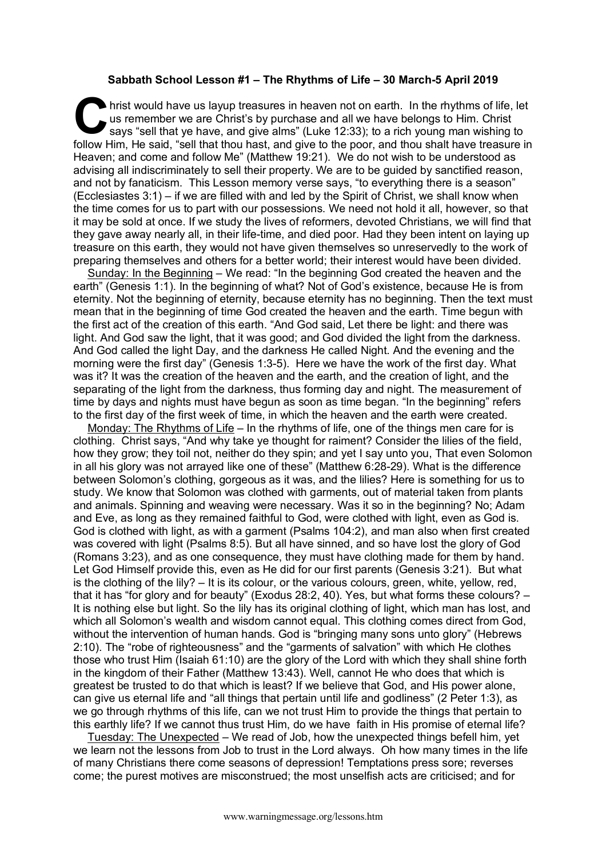## **Sabbath School Lesson #1 – The Rhythms of Life – 30 March-5 April 2019**

hrist would have us layup treasures in heaven not on earth. In the rhythms of life, let us remember we are Christ's by purchase and all we have belongs to Him. Christ says "sell that ye have, and give alms" (Luke 12:33); t us remember we are Christ's by purchase and all we have belongs to Him. Christ says "sell that ye have, and give alms" (Luke 12:33); to a rich young man wishing to follow Him, He said, "sell that thou hast, and give to the poor, and thou shalt have treasure in Heaven; and come and follow Me" (Matthew 19:21). We do not wish to be understood as advising all indiscriminately to sell their property. We are to be guided by sanctified reason, and not by fanaticism. This Lesson memory verse says, "to everything there is a season" (Ecclesiastes 3:1) – if we are filled with and led by the Spirit of Christ, we shall know when the time comes for us to part with our possessions. We need not hold it all, however, so that it may be sold at once. If we study the lives of reformers, devoted Christians, we will find that they gave away nearly all, in their life-time, and died poor. Had they been intent on laying up treasure on this earth, they would not have given themselves so unreservedly to the work of preparing themselves and others for a better world; their interest would have been divided.

Sunday: In the Beginning – We read: "In the beginning God created the heaven and the earth" (Genesis 1:1). In the beginning of what? Not of God's existence, because He is from eternity. Not the beginning of eternity, because eternity has no beginning. Then the text must mean that in the beginning of time God created the heaven and the earth. Time begun with the first act of the creation of this earth. "And God said, Let there be light: and there was light. And God saw the light, that it was good; and God divided the light from the darkness. And God called the light Day, and the darkness He called Night. And the evening and the morning were the first day" (Genesis 1:3-5). Here we have the work of the first day. What was it? It was the creation of the heaven and the earth, and the creation of light, and the separating of the light from the darkness, thus forming day and night. The measurement of time by days and nights must have begun as soon as time began. "In the beginning" refers to the first day of the first week of time, in which the heaven and the earth were created.

Monday: The Rhythms of Life – In the rhythms of life, one of the things men care for is clothing. Christ says, "And why take ye thought for raiment? Consider the lilies of the field, how they grow; they toil not, neither do they spin; and yet I say unto you, That even Solomon in all his glory was not arrayed like one of these" (Matthew 6:28-29). What is the difference between Solomon's clothing, gorgeous as it was, and the lilies? Here is something for us to study. We know that Solomon was clothed with garments, out of material taken from plants and animals. Spinning and weaving were necessary. Was it so in the beginning? No; Adam and Eve, as long as they remained faithful to God, were clothed with light, even as God is. God is clothed with light, as with a garment (Psalms 104:2), and man also when first created was covered with light (Psalms 8:5). But all have sinned, and so have lost the glory of God (Romans 3:23), and as one consequence, they must have clothing made for them by hand. Let God Himself provide this, even as He did for our first parents (Genesis 3:21). But what is the clothing of the lily? – It is its colour, or the various colours, green, white, yellow, red, that it has "for glory and for beauty" (Exodus 28:2, 40). Yes, but what forms these colours? – It is nothing else but light. So the lily has its original clothing of light, which man has lost, and which all Solomon's wealth and wisdom cannot equal. This clothing comes direct from God, without the intervention of human hands. God is "bringing many sons unto glory" (Hebrews 2:10). The "robe of righteousness" and the "garments of salvation" with which He clothes those who trust Him (Isaiah 61:10) are the glory of the Lord with which they shall shine forth in the kingdom of their Father (Matthew 13:43). Well, cannot He who does that which is greatest be trusted to do that which is least? If we believe that God, and His power alone, can give us eternal life and "all things that pertain until life and godliness" (2 Peter 1:3), as we go through rhythms of this life, can we not trust Him to provide the things that pertain to this earthly life? If we cannot thus trust Him, do we have faith in His promise of eternal life?

Tuesday: The Unexpected – We read of Job, how the unexpected things befell him, yet we learn not the lessons from Job to trust in the Lord always. Oh how many times in the life of many Christians there come seasons of depression! Temptations press sore; reverses come; the purest motives are misconstrued; the most unselfish acts are criticised; and for